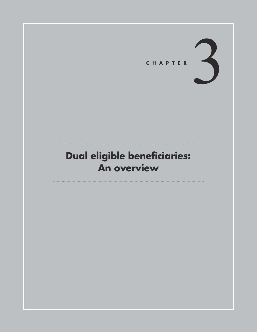

## **Dual eligible beneficiaries: An overview**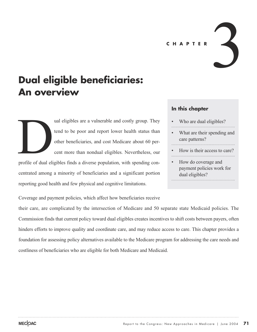**CHAPTER**

# **Dual eligible beneficiaries: An overview**

ual eligibles are a vulnerable and costly group. They tend to be poor and report lower health status than other beneficiaries, and cost Medicare about 60 percent more than nondual eligibles. Nevertheless, our profile of dual eligibles finds a diverse population, with spending con-<br>profile of dual eligibles finds a diverse population, with spending con-

centrated among a minority of beneficiaries and a significant portion reporting good health and few physical and cognitive limitations.

### **In this chapter**

- Who are dual eligibles?
- What are their spending and care patterns?

3

- How is their access to care?
- How do coverage and payment policies work for dual eligibles?

Coverage and payment policies, which affect how beneficiaries receive

their care, are complicated by the intersection of Medicare and 50 separate state Medicaid policies. The Commission finds that current policy toward dual eligibles creates incentives to shift costs between payers, often hinders efforts to improve quality and coordinate care, and may reduce access to care. This chapter provides a foundation for assessing policy alternatives available to the Medicare program for addressing the care needs and costliness of beneficiaries who are eligible for both Medicare and Medicaid.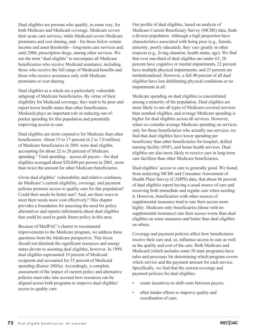Dual eligibles are persons who qualify, in some way, for both Medicare and Medicaid coverage. Medicare covers their acute care services, while Medicaid covers Medicare premiums and cost sharing, and—for those below certain income and asset thresholds—long-term care services and, until 2006, prescription drugs, among other services. We use the term "dual eligible" to encompass all Medicare beneficiaries who receive Medicaid assistance, including those who receive the full range of Medicaid benefits and those who receive assistance only with Medicare premiums or cost sharing.

Dual eligibles as a whole are a particularly vulnerable subgroup of Medicare beneficiaries. By virtue of their eligibility for Medicaid coverage, they tend to be poor and report lower health status than other beneficiaries. Medicaid plays an important role in reducing out-ofpocket spending for this population and potentially improving access to care.

Dual eligibles are more expensive for Medicare than other beneficiaries. About 15 to 17 percent (6.2 to 7.0 million) of Medicare beneficiaries in 2001 were dual eligible, accounting for about 22 to 26 percent of Medicare spending.<sup>1</sup> Total spending—across all payers—for dual eligibles averaged about \$20,840 per person in 2001, more than twice the amount for other Medicare beneficiaries.

Given dual eligibles' vulnerability and relative costliness, do Medicare's current eligibility, coverage, and payment policies promote access to quality care for this population? Could their needs be better met? And, are there ways to meet their needs more cost effectively? This chapter provides a foundation for assessing the need for policy alternatives and reports information about dual eligibles that could be used to guide future policy in this area.

Because of MedPAC's charter to recommend improvements to the Medicare program, we address these questions from the Medicare perspective. This focus should not diminish the significant resources and energy states devote to assisting dual eligibles, however. In 1999, dual eligibles represented 19 percent of Medicaid recipients and accounted for 35 percent of Medicaid spending (Kaiser 2003a). Accordingly, a complete assessment of the impact of current policy and alternative policies must take into account how resources can be aligned across both programs to improve dual eligibles' access to quality care.

Our profile of dual eligibles, based on analysis of Medicare Current Beneficiary Survey (MCBS) data, finds a diverse population. Although a high proportion have characteristics associated with being poor (e.g., female, minority, poorly educated), they vary greatly in other respects (e.g., living situation, health status, age). We find that over one-third of dual eligibles are under 65, 38 percent have cognitive or mental impairments, 22 percent have multiple physical impairments, and 23 percent are institutionalized. However, a full 40 percent of all dual eligibles have less debilitating physical conditions or no impairments at all.

Medicare spending on dual eligibles is concentrated among a minority of the population. Dual eligibles are more likely to use all types of Medicare-covered services than nondual eligibles, and average Medicare spending is higher for dual eligibles across all services. However, when we consider average Medicare spending on services only for those beneficiaries who actually use services, we find that dual eligibles have lower spending per beneficiary than other beneficiaries for hospital, skilled nursing facility (SNF), and home health services. Dual eligibles are also more likely to receive care in long-term care facilities than other Medicare beneficiaries.

Dual eligibles' access to care is generally good. We found, from analyzing MCBS and Consumer Assessment of Health Plans Survey (CAHPS) data, that about 86 percent of dual eligibles report having a usual source of care and receiving both immediate and regular care when needing it. However, beneficiaries with other sources of supplemental insurance tend to rate their access more highly. Medicare-only beneficiaries (those with no supplemental insurance) rate their access worse than dual eligibles on some measures and better than dual eligibles on others.

Coverage and payment policies affect how beneficiaries receive their care and, so, influence access to care as well as the quality and cost of the care. Both Medicare and Medicaid (which includes some 50 state programs) have rules and processes for determining which program covers which service and the payment amount for each service. Specifically, we find that the current coverage and payment policies for dual eligibles:

- create incentives to shift costs between payers;
- often hinder efforts to improve quality and coordination of care;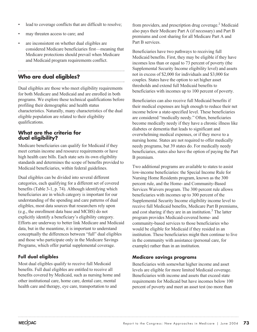- lead to coverage conflicts that are difficult to resolve;
- may threaten access to care; and
- are inconsistent on whether dual eligibles are considered Medicare beneficiaries first—meaning that Medicare protections should prevail when Medicare and Medicaid program requirements conflict.

## **Who are dual eligibles?**

Dual eligibles are those who meet eligibility requirements for both Medicare and Medicaid and are enrolled in both programs. We explore these technical qualifications before profiling their demographic and health status characteristics. Naturally, many characteristics of the dual eligible population are related to their eligibility qualifications.

### **What are the criteria for dual eligibility?**

Medicare beneficiaries can qualify for Medicaid if they meet certain income and resource requirements or have high health care bills. Each state sets its own eligibility standards and determines the scope of benefits provided to Medicaid beneficiaries, within federal guidelines.

Dual eligibles can be divided into several different categories, each qualifying for a different set of covered benefits (Table 3-1, p. 74). Although identifying which beneficiaries are in which category is important for our understanding of the spending and care patterns of dual eligibles, most data sources that researchers rely upon (e.g., the enrollment data base and MCBS) do not explicitly identify a beneficiary's eligibility category. Efforts are underway to better link Medicare and Medicaid data, but in the meantime, it is important to understand conceptually the differences between "full" dual eligibles and those who participate only in the Medicare Savings Programs, which offer partial supplemental coverage.

### **Full dual eligibles**

Most dual eligibles qualify to receive full Medicaid benefits. Full dual eligibles are entitled to receive all benefits covered by Medicaid, such as nursing home and other institutional care, home care, dental care, mental health care and therapy, eye care, transportation to and

from providers, and prescription drug coverage.<sup>2</sup> Medicaid also pays their Medicare Part A (if necessary) and Part B premiums and cost sharing for all Medicare Part A and Part B services.

Beneficiaries have two pathways to receiving full Medicaid benefits. First, they may be eligible if they have incomes less than or equal to 73 percent of poverty (the Supplemental Security Income eligibility level) and assets not in excess of \$2,000 for individuals and \$3,000 for couples. States have the option to set higher asset thresholds and extend full Medicaid benefits to beneficiaries with incomes up to 100 percent of poverty.

Beneficiaries can also receive full Medicaid benefits if their medical expenses are high enough to reduce their net income below a state-specified level. These beneficiaries are considered "medically needy." Often, beneficiaries become medically needy if they have a chronic illness like diabetes or dementia that leads to significant and overwhelming medical expenses, or if they move to a nursing home. States are not required to offer medically needy programs, but 39 states do. For medically needy beneficiaries, states also have the option of paying the Part B premium.

Two additional programs are available to states to assist low-income beneficiaries: the Special Income Rule for Nursing Home Residents program, known as the 300 percent rule, and the Home- and Community-Based Services Waivers program. The 300 percent rule allows beneficiaries with incomes up to 300 percent of the Supplemental Security Income eligibility income level to receive full Medicaid benefits, Medicare Part B premiums, and cost sharing if they are in an institution.<sup>3</sup> The latter program provides Medicaid-covered home- and community-based services to those beneficiaries who would be eligible for Medicaid if they resided in an institution. These beneficiaries might then continue to live in the community with assistance (personal care, for example) rather than in an institution.

### **Medicare savings programs**

Beneficiaries with somewhat higher income and asset levels are eligible for more limited Medicaid coverage. Beneficiaries with income and assets that exceed state requirements for Medicaid but have incomes below 100 percent of poverty and meet an asset test (no more than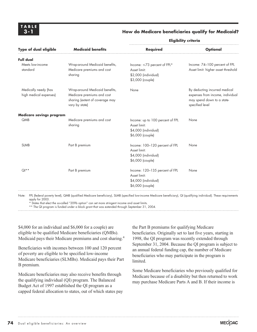### **How do Medicare beneficiaries qualify for Medicaid?**

| Type of dual eligible                          | <b>Medicaid benefits</b>                                                                                          | <b>Required</b>                                                                              | <b>Optional</b>                                                                                                    |
|------------------------------------------------|-------------------------------------------------------------------------------------------------------------------|----------------------------------------------------------------------------------------------|--------------------------------------------------------------------------------------------------------------------|
| Full dual                                      |                                                                                                                   |                                                                                              |                                                                                                                    |
| Meets low-income<br>standard                   | Wrap-around Medicaid benefits,<br>Medicare premiums and cost<br>sharing                                           | Income: ≤73 percent of FPL*<br>Asset limit:<br>\$2,000 (individual)<br>\$3,000 (couple)      | Income: 74-100 percent of FPL<br>Asset limit: higher asset threshold                                               |
| Medically needy (has<br>high medical expenses) | Wrap-around Medicaid benefits,<br>Medicare premiums and cost<br>sharing (extent of coverage may<br>vary by state) | None                                                                                         | By deducting incurred medical<br>expenses from income, individual<br>may spend down to a state-<br>specified level |
| Medicare savings program                       |                                                                                                                   |                                                                                              |                                                                                                                    |
| QMB                                            | Medicare premiums and cost<br>sharing                                                                             | Income: up to 100 percent of FPL<br>Asset limit:<br>\$4,000 (individual)<br>\$6,000 (couple) | None                                                                                                               |
| <b>SLMB</b>                                    | Part B premium                                                                                                    | Income: 100-120 percent of FPL<br>Asset limit:<br>\$4,000 (individual)<br>\$6,000 (couple)   | None                                                                                                               |
| $Q$ <sup>**</sup>                              | Part B premium                                                                                                    | Income: 120-135 percent of FPL<br>Asset limit:<br>\$4,000 (individual)<br>\$6,000 (couple)   | None                                                                                                               |

**Eligibility criteria**

Note: FPL (federal poverty level), QMB (qualified Medicare beneficiary), SLMB (specified low-income Medicare beneficiary), QI (qualifying individual). These requirements apply for 2003.

\* States that elect the so-called "209b option" can set more stringent income and asset limits.

\*\* The QI program is funded under a block grant that was extended through September 31, 2004.

\$4,000 for an individual and \$6,000 for a couple) are eligible to be qualified Medicare beneficiaries (QMBs). Medicaid pays their Medicare premiums and cost sharing.<sup>4</sup>

Beneficiaries with incomes between 100 and 120 percent of poverty are eligible to be specified low-income Medicare beneficiaries (SLMBs). Medicaid pays their Part B premium.

Medicare beneficiaries may also receive benefits through the qualifying individual (QI) program. The Balanced Budget Act of 1997 established the QI program as a capped federal allocation to states, out of which states pay the Part B premiums for qualifying Medicare beneficiaries. Originally set to last five years, starting in 1998, the QI program was recently extended through September 31, 2004. Because the QI program is subject to an annual federal funding cap, the number of Medicare beneficiaries who may participate in the program is limited.

Some Medicare beneficiaries who previously qualified for Medicare because of a disability but then returned to work may purchase Medicare Parts A and B. If their income is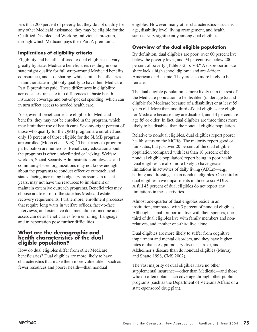less than 200 percent of poverty but they do not qualify for any other Medicaid assistance, they may be eligible for the Qualified Disabled and Working Individuals program, through which Medicaid pays their Part A premiums.

### **Implications of eligibility criteria**

Eligibility and benefits offered to dual eligibles can vary greatly by state. Medicare beneficiaries residing in one state might qualify for full wrap-around Medicaid benefits, coinsurance, and cost sharing, while similar beneficiaries in another state might only qualify to have their Medicare Part B premiums paid. These differences in eligibility across states translate into differences in basic health insurance coverage and out-of-pocket spending, which can in turn affect access to needed health care.

Also, even if beneficiaries are eligible for Medicaid benefits, they may not be enrolled in the program, which may limit their use of health care. Seventy-eight percent of those who qualify for the QMB program are enrolled and only 18 percent of those eligible for the SLMB program are enrolled (Moon et al.  $1998$ ).<sup>5</sup> The barriers to program participation are numerous. Beneficiary education about the programs is often underfunded or lacking. Welfare workers, Social Security Administration employees, and community-based organizations may not know enough about the programs to conduct effective outreach, and states, facing increasing budgetary pressures in recent years, may not have the resources to implement or maintain extensive outreach programs. Beneficiaries may choose not to enroll if the state has Medicaid estate recovery requirements. Furthermore, enrollment processes that require long waits in welfare offices, face-to-face interviews, and extensive documentation of income and assets can deter beneficiaries from enrolling. Language and transportation pose further difficulties.

### **What are the demographic and health characteristics of the dual eligible population?**

How do dual eligibles differ from other Medicare beneficiaries? Dual eligibles are more likely to have characteristics that make them more vulnerable—such as fewer resources and poorer health—than nondual

eligibles. However, many other characteristics—such as age, disability level, living arrangement, and health status—vary significantly among dual eligibles.

### **Overview of the dual eligible population**

By definition, dual eligibles are poor: over 60 percent live below the poverty level, and 94 percent live below 200 percent of poverty (Table 3-2, p. 76). $^{6}$  A disproportionate share lack a high school diploma and are African American or Hispanic. They are also more likely to be female.

The dual eligible population is more likely than the rest of the Medicare population to be disabled (under age 65 and eligible for Medicare because of a disability) or at least 85 years old. More than one-third of dual eligibles are eligible for Medicare because they are disabled, and 14 percent are age 85 or older. In fact, dual eligibles are three times more likely to be disabled than the nondual eligible population.

Relative to nondual eligibles, dual eligibles report poorer health status on the MCBS. The majority report good or fair status, but just over 20 percent of the dual eligible population (compared with less than 10 percent of the nondual eligible population) report being in poor health. Dual eligibles are also more likely to have greater limitations in activities of daily living (ADLs)—e.g., bathing and dressing—than nondual eligibles. One-third of dual eligibles have impairments in three to six ADLs. A full 45 percent of dual eligibles do not report any limitations in these activities.

Almost one-quarter of dual eligibles reside in an institution, compared with 3 percent of nondual eligibles. Although a small proportion live with their spouses, onethird of dual eligibles live with family members and nonrelatives, and another one-third live alone.

Dual eligibles are more likely to suffer from cognitive impairment and mental disorders, and they have higher rates of diabetes, pulmonary disease, stroke, and Alzheimer's disease than do nondual eligibles (Murray and Shatto 1998, CMS 2002).

The vast majority of dual eligibles have no other supplemental insurance—other than Medicaid—and those who do often obtain such coverage through other public programs (such as the Department of Veterans Affairs or a state-sponsored drug plan).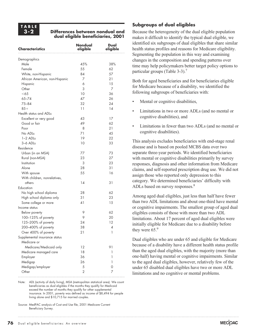### **TABLE 3-2**

### **Differences between nondual and dual eligible beneficiaries, 2001**

| <b>Characteristics</b>         | <b>Nondual</b><br>eligible | Dual<br>eligible |
|--------------------------------|----------------------------|------------------|
| Demographics                   |                            |                  |
| Male                           | 45%                        | 38%              |
| Female                         | 55                         | 62               |
| White, non-Hispanic            | 84                         | 57               |
| African American, non-Hispanic | 7                          | 21               |
| Hispanic                       | 6                          | 15               |
| Other                          | 3                          | 7                |
| $<$ 65                         | 10                         | 36               |
| $65 - 74$                      | 47                         | 26               |
| $75 - 84$                      | 32                         | 24               |
| $85+$                          | 11                         | 14               |
| Health status and ADLs         |                            |                  |
| Excellent or very good         | 43                         | 17               |
| Good or fair                   | 49                         | 62               |
| Poor                           | 8                          | 21               |
| No ADLs                        | 71                         | 45               |
| $1-2$ ADLs                     | 19                         | 22               |
| 3-6 ADLs                       | 10                         | 33               |
| Residence                      |                            |                  |
| Urban (in an MSA)              | 77                         | 73               |
| Rural (non-MSA)                | 23                         | 27               |
| Institution                    | 3                          | 23               |
| Alone                          | 28                         | 31               |
| With spouse                    | 55                         | 16               |
| With children, nonrelatives,   |                            |                  |
| others                         | 14                         | 31               |
| Education                      |                            |                  |
| No high school diploma         | 28                         | 62               |
| High school diploma only       | 31                         | 23               |
| Some college or more           | 41                         | 15               |
| Income status                  |                            |                  |
| Below poverty                  | 9                          | 62               |
| 100-125% of poverty            | 9                          | 20               |
| 125-200% of poverty            | 24                         | 12               |
| 200-400% of poverty            | 38                         | 4                |
| Over 400% of poverty           | 21                         | 1                |
| Supplemental insurance status  |                            |                  |
| Medicare or                    |                            |                  |
| Medicare/Medicaid only         | 12                         | 91               |
| Medicare managed care          | 18                         | 1                |
| Employer                       | 36                         | 1                |
| Medigap                        | 26                         | 1                |
| Medigap/employer               | 5                          | 0                |
| Other                          | $\overline{2}$             | 7                |

Note: ADL (activity of daily living), MSA (metropolitan statistical area). We count beneficiaries as dual eligibles if the months they qualify for Medicaid exceed the number of months they qualify for other supplemental insurance. In 2001, poverty was defined as income of \$8,494 for people living alone and \$10,715 for married couples.

### **Subgroups of dual eligibles**

Because the heterogeneity of the dual eligible population makes it difficult to identify the typical dual eligible, we identified six subgroups of dual eligibles that share similar health status profiles and reasons for Medicare eligibility. Segmenting the population in this way and examining changes in the composition and spending patterns over time may help policymakers better target policy options to particular groups (Table 3-3).<sup>7</sup>

Both for aged beneficiaries and for beneficiaries eligible for Medicare because of a disability, we identified the following subgroups of beneficiaries with:

- Mental or cognitive disabilities,
- Limitations in two or more ADLs (and no mental or cognitive disabilities), and
- Limitations in fewer than two ADLs (and no mental or cognitive disabilities).

This analysis excludes beneficiaries with end-stage renal disease and is based on pooled MCBS data over two separate three-year periods. We identified beneficiaries with mental or cognitive disabilities primarily by survey responses, diagnosis and other information from Medicare claims, and self-reported prescription drug use. We did not assign those who reported only depression to this category. We determined beneficiaries' difficulty with ADLs based on survey responses.<sup>8</sup>

Among aged dual eligibles, just less than half have fewer than two ADL limitations and about one-third have mental or cognitive impairments. The smallest group of aged dual eligibles consists of those with more than two ADL limitations. About 17 percent of aged dual eligibles were initially eligible for Medicare due to a disability before they were 65.<sup>9</sup>

Dual eligibles who are under 65 and eligible for Medicare because of a disability have a different health status profile than the aged dual eligibles, with the majority (more than one-half) having mental or cognitive impairments. Similar to the aged dual eligibles, however, relatively few of the under 65 disabled dual eligibles have two or more ADL limitations and no cognitive or mental problems.

Source: MedPAC analysis of Cost and Use file, 2001 Medicare Current Beneficiary Survey.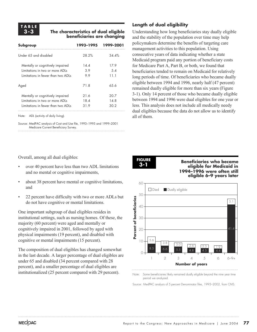### **The characteristics of dual eligible beneficiaries are changing**

| Subgroup                           | 1993–1995 | 1999-2001 |
|------------------------------------|-----------|-----------|
| Under 65 and disabled              | 28.2%     | $34.4\%$  |
| Mentally or cognitively impaired   | 144       | 17.9      |
| Limitations in two or more ADLs    | 3.9       | .5.4      |
| Limitations in fewer than two ADLs | 99        | 11.1      |
| Aged                               | 71.8      | 65.6      |
| Mentally or cognitively impaired   | 21.6      | 20.7      |
| Limitations in two or more ADLs    | 18.4      | 14 R      |
| Limitations in fewer than two ADLs | 31.9      | 30.2      |
|                                    |           |           |

Note: ADL (activity of daily living).

Source: MedPAC analysis of Cost and Use file, 1993–1995 and 1999–2001 Medicare Current Beneficiary Survey.

### **Length of dual eligibility**

Understanding how long beneficiaries stay dually eligible and the stability of the population over time may help policymakers determine the benefits of targeting care management activities to this population. Using consecutive years of data indicating whether a state Medicaid program paid any portion of beneficiary costs for Medicare Part A, Part B, or both, we found that beneficiaries tended to remain on Medicaid for relatively long periods of time. Of beneficiaries who became dually eligible between 1994 and 1996, nearly half (47 percent) remained dually eligible for more than six years (Figure 3-1). Only 14 percent of those who became dually eligible between 1994 and 1996 were dual eligibles for one year or less. This analysis does not include all medically needy dual eligibles because the data do not allow us to identify all of them.

Overall, among all dual eligibles:

- over 40 percent have less than two ADL limitations and no mental or cognitive impairments,
- about 38 percent have mental or cognitive limitations, and
- 22 percent have difficulty with two or more ADLs but do not have cognitive or mental limitations.

One important subgroup of dual eligibles resides in institutional settings, such as nursing homes. Of these, the majority (60 percent) were aged and mentally or cognitively impaired in 2001, followed by aged with physical impairments (19 percent), and disabled with cognitive or mental impairments (15 percent).

The composition of dual eligibles has changed somewhat in the last decade. A larger percentage of dual eligibles are under 65 and disabled (34 percent compared with 28 percent), and a smaller percentage of dual eligibles are institutionalized (25 percent compared with 29 percent).

**FIGURE 3-1**

**Beneficiaries who became eligible for Medicaid in 1994–1996 were often still eligible 6–9 years later**



Note: Some beneficiaries likely remained dually eligible beyond the nine year time period we analyzed.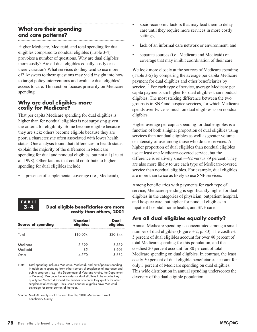### **What are their spending and care patterns?**

Higher Medicare, Medicaid, and total spending for dual eligibles compared to nondual eligibles (Table 3-4) provokes a number of questions. Why are dual eligibles more costly? Are all dual eligibles equally costly or is there variation? What services do they tend to use more of? Answers to these questions may yield insight into how to target policy interventions and evaluate dual eligibles' access to care. This section focuses primarily on Medicare spending.

### **Why are dual eligibles more costly for Medicare?**

That per capita Medicare spending for dual eligibles is higher than for nondual eligibles is not surprising given the criteria for eligibility. Some become eligible because they are sick; others become eligible because they are poor, a characteristic often associated with lower health status. One analysis found that differences in health status explain the majority of the difference in Medicare spending for dual and nondual eligibles, but not all (Liu et al. 1998). Other factors that could contribute to higher spending for dual eligibles include:

presence of supplemental coverage (i.e., Medicaid),



### **Dual eligible beneficiaries are more costly than others, 2001**

| <b>Nondual</b> | Dual      |
|----------------|-----------|
| eligibles      | eligibles |
| \$10,054       | \$20.844  |
| 5,399          | 8,559     |
| 8.5            | 8,603     |
| 4,570          | 3,682     |
|                |           |

Note: Total spending includes Medicare, Medicaid, and out-of-pocket spending in addition to spending from other sources of supplemental insurance and public programs (e.g., the Department of Veterans Affairs, the Department of Defense). We count beneficiaries as dual eligibles if the months they qualify for Medicaid exceed the number of months they qualify for other supplemental coverage. Thus, some nondual eligibles have Medicaid coverage for some portion of the year.

Source: MedPAC analysis of Cost and Use file, 2001 Medicare Current Beneficiary Survey.

- socio-economic factors that may lead them to delay care until they require more services in more costly settings,
- lack of an informal care network or environment, and
- separate sources (i.e., Medicare and Medicaid) of coverage that may inhibit coordination of their care.

We look more closely at the sources of Medicare spending (Table 3-5) by comparing the average per capita Medicare payment for dual eligibles and other beneficiaries by service.<sup>10</sup> For each type of service, average Medicare per capita payments are higher for dual eligibles than nondual eligibles. The most striking difference between the two groups is in SNF and hospice services, for which Medicare spends over twice as much on dual eligibles as on nondual eligibles.

Higher average per capita spending for dual eligibles is a function of both a higher proportion of dual eligibles using services than nondual eligibles as well as greater volume or intensity of use among those who do use services. A higher proportion of dual eligibles than nondual eligibles use at least one Medicare-covered service, but the difference is relatively small—92 versus 89 percent. They are also more likely to use each type of Medicare-covered service than nondual eligibles. For example, dual eligibles are more than twice as likely to use SNF services.

Among beneficiaries with payments for each type of service, Medicare spending is significantly higher for dual eligibles in the categories of physician, outpatient hospital, and hospice care, but higher for nondual eligibles in inpatient hospital, home health, and SNF care.

### **Are all dual eligibles equally costly?**

Annual Medicare spending is concentrated among a small number of dual eligibles (Figure 3-2, p. 80). The costliest 5 percent of dual eligibles account for over 40 percent of total Medicare spending for this population, and the costliest 20 percent account for 80 percent of total Medicare spending on dual eligibles. In contrast, the least costly 50 percent of dual eligible beneficiaries account for only 3 percent of Medicare spending on dual eligibles. This wide distribution in annual spending underscores the diversity of the dual eligible population.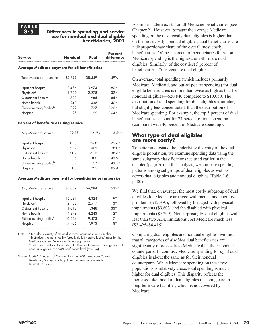### **TABLE 3-5**

#### **Differences in spending and service use for nondual and dual eligible beneficiaries, 2001**

| <b>Service</b>                                 | Nondual | Dual    | <b>Percent</b><br>difference |
|------------------------------------------------|---------|---------|------------------------------|
| Average Medicare payment for all beneficiaries |         |         |                              |
| <b>Total Medicare payments</b>                 | \$5,399 | \$8,559 | .59%*                        |
| Inpatient hospital                             | 2,486   | 3,974   | 60*                          |
| Physician <sup>a</sup>                         | 1,720   | 2,278   | $32*$                        |
| Outpatient hospital                            | 523     | 965     | $8.5*$                       |
| Home health                                    | 241     | 338     | $40*$                        |
| Skilled nursing facility <sup>b</sup>          | 322     | 727     | $126*$                       |
| Hospice                                        | 98      | 199     | $104*$                       |

#### **Percent of beneficiaries using service**

| Any Medicare service                  | 89.1% | 92.2% | $3.5\%$ * |
|---------------------------------------|-------|-------|-----------|
| Inpatient hospital                    | 15.3  | 26.8  | $75.6*$   |
| Physician <sup>a</sup>                | 70.7  | 90.5  | $28.0*$   |
| Outpatient hospital                   | 51.7  | 71.6  | $38.6*$   |
| Home health                           | 5.5   | 8.0   | 43.9      |
| Skilled nursing facility <sup>b</sup> | 3.2   | 77    | $143.5*$  |
| Hospice                               | 1.3   | 2.5   | 89.4      |

#### **Average Medicare payment for beneficiaries using service**

| Any Medicare service                  | \$6,059 | \$9,284 | $53\%$ * |
|---------------------------------------|---------|---------|----------|
| Inpatient hospital                    | 16,281  | 14,824  | $-9*$    |
| Physician <sup>a</sup>                | 2,432   | 2,517   | $3*$     |
| Outpatient hospital                   | 1,012   | 1,348   | $33*$    |
| Home health                           | 4,348   | 4,243   | $-2*$    |
| Skilled nursing facility <sup>b</sup> | 10,224  | 9,473   | $-7*$    |
| Hospice                               | 7,405   | 7,973   | $8*$     |

Note: <sup>a</sup> Includes a variety of medical services, equipment, and supplies. <sup>b</sup> Individual short-term facility (usually skilled nursing facility) stays for the Medicare Current Beneficiary Survey population. \* Indicates a statistically significant difference between dual eligibles and nondual eligibles, at a  $95\%$  confidence level (p<0.05).

A similar pattern exists for all Medicare beneficiaries (see Chapter 2). However, because the average Medicare spending on the most costly dual eligibles is higher than on the most costly nondual eligibles, dual beneficiaries are a disproportionate share of the overall most costly beneficiaries. Of the 1 percent of beneficiaries for whom Medicare spending is the highest, one-third are dual eligibles. Similarly, of the costliest 5 percent of beneficiaries, 25 percent are dual eligibles.

On average, total spending (which includes primarily Medicare, Medicaid, and out-of-pocket spending) for dual eligible beneficiaries is more than twice as high as that for nondual eligibles—\$20,840 compared to \$10,050. The distribution of total spending for dual eligibles is similar, but slightly less concentrated, than the distribution of Medicare spending. For example, the top 5 percent of dual beneficiaries account for 27 percent of total spending (compared with 40 percent of Medicare spending).

### **What type of dual eligibles are more costly?**

To better understand the underlying diversity of the dual eligible population, we examine spending data using the same subgroup classifications we used earlier in the chapter (page 76). In this analysis, we compare spending patterns among subgroups of dual eligibles as well as across dual eligibles and nondual eligibles (Table 3-6, p. 80).

We find that, on average, the most costly subgroup of dual eligibles for Medicare are aged with mental and cognitive problems (\$12,370), followed by the aged with physical impairments (\$9,603) and the disabled with physical impairments (\$7,299). Not surprisingly, dual eligibles with less than two ADL limitations cost Medicare much less (\$3,425–\$4,415).

Comparing dual eligibles and nondual eligibles, we find that all categories of *disabled* dual beneficiaries are significantly more costly to Medicare than their nondual counterparts. In contrast, Medicare spending for *aged* dual eligibles is about the same as for their nondual counterparts. While Medicare spending on these two populations is relatively close, total spending is much higher for dual eligibles. This disparity reflects the increased likelihood of dual eligibles receiving care in long-term care facilities, which is not covered by Medicare.

Source: MedPAC analysis of Cost and Use file, 2001 Medicare Current Beneficiary Survey, which updates the previous analysis by Liu et al. in 1998.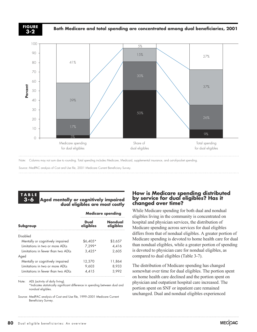

**Both Medicare and total spending are concentrated among dual beneficiaries, 2001 FIGURE**



Note: Columns may not sum due to rounding. Total spending includes Medicare, Medicaid, supplemental insurance, and out-of-pocket spending.

**Aged mentally or cognitively impaired**

**dual eligibles are most costly**

#### **TABLE 3-6**

|                                    | <b>Medicare spending</b> |                      |  |
|------------------------------------|--------------------------|----------------------|--|
| Subgroup                           | Dual<br>eligibles        | Nondual<br>eligibles |  |
| Disabled                           |                          |                      |  |
| Mentally or cognitively impaired   | $$6,405*$                | \$3,657              |  |
| Limitations in two or more ADLs    | $7.299*$                 | 4,416                |  |
| Limitations in fewer than two ADLs | $3,425*$                 | 2,605                |  |
| Aged                               |                          |                      |  |
| Mentally or cognitively impaired   | 12,370                   | 11,864               |  |
| Limitations in two or more ADLs    | 9,603                    | 8,933                |  |
| Limitations in fewer than two ADLs | 4.415                    | 3.992                |  |

\*Indicates statistically significant difference in spending between dual and nondual eligibles.

Source: MedPAC analysis of Cost and Use file, 1999–2001 Medicare Current Beneficiary Survey.

### **How is Medicare spending distributed by service for dual eligibles? Has it changed over time?**

While Medicare spending for both dual and nondual eligibles living in the community is concentrated on hospital and physician services, the distribution of Medicare spending across services for dual eligibles differs from that of nondual eligibles. A greater portion of Medicare spending is devoted to home health care for dual than nondual eligibles, while a greater portion of spending is devoted to physician care for nondual eligibles, as compared to dual eligibles (Table 3-7).

The distribution of Medicare spending has changed somewhat over time for dual eligibles. The portion spent on home health care declined and the portion spent on physician and outpatient hospital care increased. The portion spent on SNF or inpatient care remained unchanged. Dual and nondual eligibles experienced

Note: ADL (activity of daily living).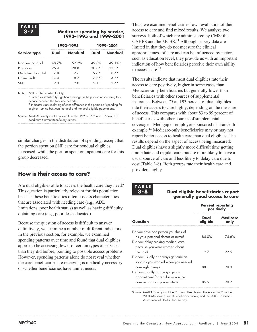### **TABLE 3-7**

#### **Medicare spending by service, 1993–1995 and 1999–2001**

|                     |       | 1993-1995 | 1999-2001        |            |
|---------------------|-------|-----------|------------------|------------|
| <b>Service type</b> | Dual  | Nondual   | Dual             | Nondual    |
| Inpatient hospital  | 48.7% | $52.2\%$  | 49.8%            | $49.1\%$ * |
| Physician           | 26.4  | 28.8      | $30.8*1$         | $33.3*$    |
| Outpatient hospital | 7 R   | 76        | $9.6*$           | 8 4*       |
| Home health         | 14 A  | 87        | $6.3*1$          | 4.5*       |
| <b>SNF</b>          | 2 0   | 2 O       | 2.1 <sup>†</sup> | $3.4*$     |

Note: SNF (skilled nursing facility).

\* Indicates statistically significant change in the portion of spending for a service between the two time periods.

† Indicates statistically significant difference in the portion of spending for a given service between the dual and nondual eligible populations.

Source: MedPAC analysis of Cost and Use file, 1993–1995 and 1999–2001 Medicare Current Beneficiary Survey.

similar changes in the distribution of spending, except that the portion spent on SNF care for nondual eligibles increased, while the portion spent on inpatient care for this group decreased.

#### **How is their access to care?**

Are dual eligibles able to access the health care they need? This question is particularly relevant for this population because these beneficiaries often possess characteristics that are associated with needing care (e.g., ADL limitations, poor health status) as well as having difficulty obtaining care (e.g., poor, less educated).

Because the question of access is difficult to answer definitively, we examine a number of different indicators. In the previous section, for example, we examined spending patterns over time and found that dual eligibles appear to be accessing fewer of certain types of services than they did before, pointing to possible access problems. However, spending patterns alone do not reveal whether the care beneficiaries are receiving is medically necessary or whether beneficiaries have unmet needs.

Thus, we examine beneficiaries' own evaluation of their access to care and find mixed results. We analyze two surveys, both of which are administered by CMS: the CAHPS and the MCBS.<sup>11</sup> Although survey data are limited in that they do not measure the clinical appropriateness of care and can be influenced by factors such as education level, they provide us with an important indication of how beneficiaries perceive their own ability to access care.<sup>12</sup>

The results indicate that most dual eligibles rate their access to care positively, higher in some cases than Medicare-only beneficiaries but generally lower than beneficiaries with other sources of supplemental insurance. Between 75 and 93 percent of dual eligibles rate their access to care highly, depending on the measure of access. This compares with about 83 to 99 percent of beneficiaries with other sources of supplemental coverage—Medigap or employer-sponsored insurance, for example.<sup>13</sup> Medicare-only beneficiaries may or may not report better access to health care than dual eligibles. The results depend on the aspect of access being measured: Dual eligibles have a slightly more difficult time getting immediate and regular care, but are more likely to have a usual source of care and less likely to delay care due to cost (Table 3-8). Both groups rate their health care and providers highly.

### **TABLE 3-8**

**Dual eligible beneficiaries report generally good access to care**

|                                                                          | <b>Percent reporting</b><br>positively |                  |  |
|--------------------------------------------------------------------------|----------------------------------------|------------------|--|
| <b>Question</b>                                                          | Dual<br>eligible                       | Medicare<br>only |  |
| Do you have one person you think of<br>as your personal doctor or nurse? | 84.0%                                  | 74.6%            |  |
| Did you delay seeking medical care<br>because you were worried about     |                                        |                  |  |
| $3to$ cost <sup>2</sup><br>Did you usually or always get care as         | 97                                     | 22.5             |  |
| soon as you wanted when you needed<br>care right away?                   | 88.1                                   | 90.3             |  |
| Did you usually or always get an<br>appointment for regular or routine   |                                        |                  |  |
| care as soon as you wanted?                                              | 86.5                                   |                  |  |

Source: MedPAC analysis of the Cost and Use file and the Access to Care file, 2001 Medicare Current Beneficiary Survey; and the 2001 Consumer Assessment of Health Plans Survey.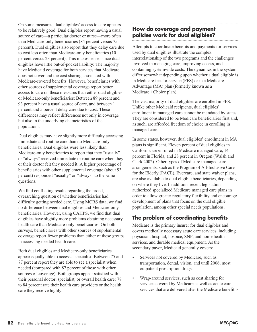On some measures, dual eligibles' access to care appears to be relatively good. Dual eligibles report having a usual source of care—a particular doctor or nurse—more often than Medicare-only beneficiaries (84 percent versus 75 percent). Dual eligibles also report that they delay care due to cost less often than Medicare-only beneficiaries (10 percent versus 23 percent). This makes sense, since dual eligibles have little out-of-pocket liability: The majority have Medicaid coverage for both services that Medicare does not cover and the cost sharing associated with Medicare-covered benefits. However, beneficiaries with other sources of supplemental coverage report better access to care on these measures than either dual eligibles or Medicare-only beneficiaries: Between 89 percent and 93 percent have a usual source of care, and between 1 percent and 5 percent delay care due to cost. These differences may reflect differences not only in coverage but also in the underlying characteristics of the populations.

Dual eligibles may have slightly more difficulty accessing immediate and routine care than do Medicare-only beneficiaries. Dual eligibles were less likely than Medicare-only beneficiaries to report that they "usually" or "always" received immediate or routine care when they or their doctor felt they needed it. A higher percentage of beneficiaries with other supplemental coverage (about 93 percent) responded "usually" or "always" to the same questions.

We find conflicting results regarding the broad, overarching question of whether beneficiaries had difficulty getting needed care. Using MCBS data, we find no difference between dual eligibles and Medicare-only beneficiaries. However, using CAHPS, we find that dual eligibles have slightly more problems obtaining necessary health care than Medicare-only beneficiaries. On both surveys, beneficiaries with other sources of supplemental coverage report fewer problems than either of these groups in accessing needed health care.

Both dual eligibles and Medicare-only beneficiaries appear equally able to access a specialist: Between 75 and 77 percent report they are able to see a specialist when needed (compared with 87 percent of those with other sources of coverage). Both groups appear satisfied with their personal doctor, specialist, or overall health care: 78 to 84 percent rate their health care providers or the health care they receive highly.

### **How do coverage and payment policies work for dual eligibles?**

Attempts to coordinate benefits and payments for services used by dual eligibles illustrate the complex interrelationship of the two programs and the challenges involved in managing care, improving access, and containing systemwide costs. The dynamics in the system differ somewhat depending upon whether a dual eligible is in Medicare fee-for-service (FFS) or in a Medicare Advantage (MA) plan (formerly known as a Medicare+Choice plan).

The vast majority of dual eligibles are enrolled in FFS. Unlike other Medicaid recipients, dual eligibles' enrollment in managed care cannot be mandated by states. They are considered to be Medicare beneficiaries first and, as such, are afforded freedom of choice in enrolling in managed care.

In some states, however, dual eligibles' enrollment in MA plans is significant. Eleven percent of dual eligibles in California are enrolled in Medicare managed care, 14 percent in Florida, and 28 percent in Oregon (Walsh and Clark 2002). Other types of Medicare managed care arrangements, such as the Program of All-Inclusive Care for the Elderly (PACE), Evercare, and state waiver plans, are also available to dual eligible beneficiaries, depending on where they live. In addition, recent legislation authorized specialized Medicare managed care plans in order to allow greater regulatory flexibility and encourage development of plans that focus on the dual eligible population, among other special needs populations.

### **The problem of coordinating benefits**

Medicare is the primary insurer for dual eligibles and covers medically necessary acute care services, including physician, hospital, hospice, SNF, and home health services, and durable medical equipment. As the secondary payer, Medicaid generally covers:

- Services not covered by Medicare, such as transportation, dental, vision, and until 2006, most outpatient prescription drugs.
- Wrap-around services, such as cost sharing for services covered by Medicare as well as acute care services that are delivered after the Medicare benefit is

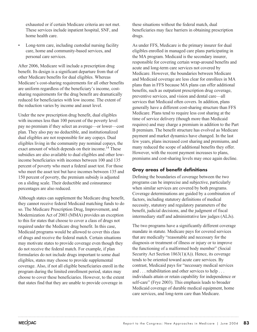exhausted or if certain Medicare criteria are not met. These services include inpatient hospital, SNF, and home health care.

• Long-term care, including custodial nursing facility care, home and community-based services, and personal care services.

After 2006, Medicare will include a prescription drug benefit. Its design is a significant departure from that of other Medicare benefits for dual eligibles. Whereas Medicare's cost-sharing requirements for all other benefits are uniform regardless of the beneficiary's income, costsharing requirements for the drug benefit are dramatically reduced for beneficiaries with low income. The extent of the reduction varies by income and asset level.

Under the new prescription drug benefit, dual eligibles with incomes less than 100 percent of the poverty level pay no premium if they select an average—or lower—cost plan. They also pay no deductible, and institutionalized dual eligibles are not responsible for any copays. Dual eligibles living in the community pay nominal copays, the exact amount of which depends on their income.<sup>14</sup> These subsidies are also available to dual eligibles and other lowincome beneficiaries with incomes between 100 and 135 percent of poverty who meet a federal asset test. For those who meet the asset test but have incomes between 135 and 150 percent of poverty, the premium subsidy is adjusted on a sliding scale. Their deductible and coinsurance percentages are also reduced.

Although states can supplement the Medicare drug benefit, they cannot receive federal Medicaid matching funds to do so. The Medicare Prescription Drug, Improvement, and Modernization Act of 2003 (MMA) provides an exception to this for states that choose to cover a class of drugs not required under the Medicare drug benefit. In this case, Medicaid programs would be allowed to cover this class of drugs and receive the federal match. Certain situations may motivate states to provide coverage even though they do not receive the federal match. For example, if plan formularies do not include drugs important to some dual eligibles, states may choose to provide supplemental coverage. Also, if not all eligible beneficiaries enroll in the program during the limited enrollment period, states may choose to cover these beneficiaries. However, to the extent that states find that they are unable to provide coverage in

these situations without the federal match, dual beneficiaries may face barriers in obtaining prescription drugs.

As under FFS, Medicare is the primary insurer for dual eligibles enrolled in managed care plans participating in the MA program. Medicaid is the secondary insurer, responsible for covering certain wrap-around benefits and acute and long-term care services not covered by Medicare. However, the boundaries between Medicare and Medicaid coverage are less clear for enrollees in MA plans than in FFS because MA plans can offer additional benefits, such as outpatient prescription drug coverage, preventive services, and vision and dental care—all services that Medicaid often covers. In addition, plans generally have a different cost-sharing structure than FFS Medicare. Plans tend to require less cost sharing at the time of service delivery (though more than Medicaid requires) and may charge a premium in addition to the Part B premium. The benefit structure has evolved as Medicare payment and market dynamics have changed. In the last few years, plans increased cost sharing and premiums, and many reduced the scope of additional benefits they offer. However, with the recent payment increases to plans, premiums and cost-sharing levels may once again decline.

### **Gray areas of benefit definitions**

Defining the boundaries of coverage between the two programs can be imprecise and subjective, particularly when similar services are covered by both programs. Coverage determinations are guided by a combination of factors, including statutory definitions of medical necessity, statutory and regulatory parameters of the benefit, judicial decisions, and the judgment of fiscal intermediary staff and administrative law judges (ALJs).

The two programs have a significantly different coverage mandate in statute. Medicare pays for covered services that are medically "reasonable and necessary for the diagnosis or treatment of illness or injury or to improve the functioning of a malformed body member" (Social Security Act Section 1863(1)(A)). Hence, its coverage tends to be oriented toward acute care services. By contrast, Medicaid pays for "necessary medical services and . . . rehabilitation and other services to help . . . individuals attain or retain capability for independence or self-care" (Frye 2003). This emphasis leads to broader Medicaid coverage of durable medical equipment, home care services, and long-term care than Medicare.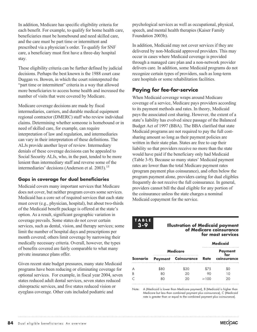In addition, Medicare has specific eligibility criteria for each benefit. For example, to qualify for home health care, beneficiaries must be homebound and need skilled care, and the care must be part time or intermittent and prescribed via a physician's order. To qualify for SNF care, a beneficiary must first have a three-day hospital stay.

These eligibility criteria can be further defined by judicial decisions. Perhaps the best known is the 1988 court case Duggan vs. Bowen, in which the court reinterpreted the "part time or intermittent" criteria in a way that allowed more beneficiaries to access home health and increased the number of visits that were covered by Medicare.

Medicare coverage decisions are made by fiscal intermediaries, carriers, and durable medical equipment regional contractor (DMERC) staff who review individual claims. Determining whether someone is homebound or in need of skilled care, for example, can require interpretation of law and regulation, and intermediaries can vary in their interpretation of these definitions. The ALJs provide another layer of review. Intermediary denials of these coverage decisions can be appealed to Social Security ALJs, who, in the past, tended to be more lenient than intermediary staff and reverse some of the intermediaries' decisions (Anderson et al. 2003).<sup>15</sup>

### **Gaps in coverage for dual beneficiaries**

Medicaid covers many important services that Medicare does not cover, but neither program covers some services. Medicaid has a core set of required services that each state must cover (e.g., physician, hospital), but about two-thirds of the Medicaid benefit package is offered at the state's option. As a result, significant geographic variation in coverage prevails. Some states do not cover certain services, such as dental, vision, and therapy services; some limit the number of hospital days and prescriptions per month covered; others limit coverage by narrowing their medically necessary criteria. Overall, however, the types of benefits covered are fairly comparable to what many private insurance plans offer.

Given recent state budget pressures, many state Medicaid programs have been reducing or eliminating coverage for optional services. For example, in fiscal year 2004, seven states reduced adult dental services, seven states reduced chiropractic services, and five states reduced vision or eyeglass coverage. Other cuts included podiatric and

psychological services as well as occupational, physical, speech, and mental health therapies (Kaiser Family Foundation 2003b).

In addition, Medicaid may not cover services if they are delivered by non-Medicaid approved providers. This may occur in cases where Medicaid coverage is provided through a managed care plan and a non-network provider delivers care. In addition, some Medicaid programs do not recognize certain types of providers, such as long-term care hospitals or some rehabilitation facilities.

### **Paying for fee-for-service**

When Medicaid coverage wraps around Medicare coverage of a service, Medicare pays providers according to its payment methods and rates. In theory, Medicaid pays the associated cost sharing. However, the extent of a state's liability has evolved since passage of the Balanced Budget Act of 1997 (BBA). The BBA clarified that state Medicaid programs are not required to pay the full costsharing amount so long as their payment policies are written in their state plan. States are free to cap their liability so that providers receive no more than the state would have paid if the beneficiary only had Medicaid (Table 3-9). Because so many states' Medicaid payment rates are lower than the total Medicare payment rates (program payment plus coinsurance), and often below the program payment alone, providers caring for dual eligibles frequently do not receive the full coinsurance. In general, providers cannot bill the dual eligible for any portion of the coinsurance unless the state charges a nominal Medicaid copayment for the service.

#### **TABLE 3-9**

**Illustration of Medicaid payment of Medicare coinsurance for most services**

|  |            | <b>Medicaid</b>          |
|--|------------|--------------------------|
|  |            | <b>Payment</b>           |
|  |            | coinsurance              |
|  | 75         |                          |
|  |            |                          |
|  | $\geq$ 100 |                          |
|  | Medicare   | Payment Coinsurance Rate |

Note: A (Medicaid is lower than Medicare payment), B (Medicaid is higher than Medicare but less than combined payment plus coinsurance), C (Medicaid rate is greater than or equal to the combined payment plus coinsurance).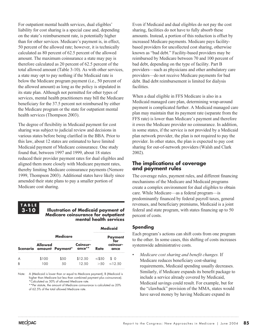For outpatient mental health services, dual eligibles' liability for cost sharing is a special case and, depending on the state's reimbursement rate, is potentially higher than for other services. Medicare's payment is, in effect, 50 percent of the allowed rate; however, it is technically calculated as 80 percent of 62.5 percent of the allowed amount. The maximum coinsurance a state may pay is therefore calculated as 20 percent of 62.5 percent of the total allowed amount (Table 3-10). As with other services, a state may opt to pay nothing if the Medicaid rate is below the Medicare program payment (i.e., 50 percent of the allowed amount) as long as the policy is stipulated in its state plan. Although not permitted for other types of services, mental health practitioners may bill the Medicare beneficiary for the 37.5 percent not reimbursed by either the Medicare program or the state for outpatient mental health services (Thompson 2003).

The degree of flexibility in Medicaid payment for cost sharing was subject to judicial review and decisions in various states before being clarified in the BBA. Prior to this law, about 12 states are estimated to have limited Medicaid payment of Medicare coinsurance. One study found that, between 1997 and 1999, about 18 states reduced their provider payment rates for dual eligibles and aligned them more closely with Medicare payment rates, thereby limiting Medicare coinsurance payments (Nemore 1999, Thompson 2003). Additional states have likely since amended their state plans to pay a smaller portion of Medicare cost sharing.



#### **Illustration of Medicaid payment of Medicare coinsurance for outpatient mental health services**

**Medicaid**

|   |                |                                 |                  |                    | mealcala              |
|---|----------------|---------------------------------|------------------|--------------------|-----------------------|
|   |                | <b>Medicare</b>                 |                  | <b>Payment</b>     |                       |
|   | <b>Allowed</b> | Scenario amount Payment* ance** | Coinsur-         | Rate               | coinsur-<br>ance      |
| R | \$100          | \$50                            | \$12.50<br>12.50 | $\leq$ \$50<br>>50 | 96. R<br>$\leq$ 12.50 |

Note: A (Medicaid is lower than or equal to Medicare payment), B (Medicaid is higher than Medicare but less than combined payment plus coinsurance). \*Calculated as 50% of allowed Medicare rate.

\*\*Per statute, the amount of Medicare coinsurance is calculated as 20% of 62.5% of the total allowed Medicare rate.

Even if Medicaid and dual eligibles do not pay the cost sharing, facilities do not have to fully absorb these amounts. Instead, a portion of this reduction is offset by increased Medicare payments. Medicare pays facilitybased providers for uncollected cost sharing, otherwise known as "bad debt." Facility-based providers may be reimbursed by Medicare between 70 and 100 percent of bad debt, depending on the type of facility. Part B providers—such as physicians and other ambulatory care providers—do not receive Medicare payments for bad debt. Bad debt reimbursement is limited for dialysis facilities.

When a dual eligible in FFS Medicare is also in a Medicaid managed care plan, determining wrap-around payment is complicated further. A Medicaid managed care plan may maintain that its payment rate (separate from the FFS rate) is lower than Medicare's payment and therefore it owes the Medicare provider no coinsurance. In addition, in some states, if the service is not provided by a Medicaid plan network provider, the plan is not required to pay the provider. In other states, the plan is expected to pay cost sharing for out-of-network providers (Walsh and Clark 2002).

### **The implications of coverage and payment rules**

The coverage rules, payment rules, and different financing mechanisms of the Medicare and Medicaid programs create a complex environment for dual eligibles to obtain care. While Medicare—as a federal program—is predominantly financed by federal payroll taxes, general revenues, and beneficiary premiums, Medicaid is a joint federal and state program, with states financing up to 50 percent of costs.

### **Spending**

Each program's actions can shift costs from one program to the other. In some cases, this shifting of costs increases systemwide administrative costs.

• *Medicare cost sharing and benefit changes.* If Medicare reduces beneficiary cost-sharing requirements, Medicaid spending usually decreases. Similarly, if Medicare expands its benefit package to include a service already covered by Medicaid, Medicaid savings could result. For example, but for the "clawback" provision of the MMA, states would have saved money by having Medicare expand its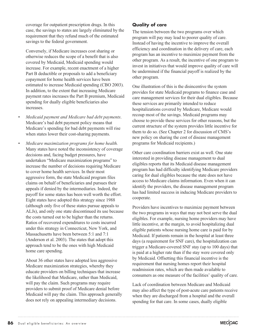coverage for outpatient prescription drugs. In this case, the savings to states are largely eliminated by the requirement that they refund much of the estimated savings to the federal government.

Conversely, if Medicare increases cost sharing or otherwise reduces the scope of a benefit that is also covered by Medicaid, Medicaid spending would increase. For example, recent enactment of a higher Part B deductible or proposals to add a beneficiary copayment for home health services have been estimated to increase Medicaid spending (CBO 2003). In addition, to the extent that increasing Medicare payment rates increases the Part B premium, Medicaid spending for dually eligible beneficiaries also increases.

- *Medicaid payment and Medicare bad debt payments*. Medicare's bad debt payment policy means that Medicare's spending for bad debt payments will rise when states lower their cost-sharing payments.
- *Medicare maximization programs for home health.* Many states have noted the inconsistency of coverage decisions and, facing budget pressures, have undertaken "Medicare maximization programs" to increase the number of decisions requiring Medicare to cover home health services. In their most aggressive form, the state Medicaid program files claims on behalf of beneficiaries and pursues their appeals if denied by the intermediaries. Indeed, the payoff for some states has been well worth the effort. Eight states have adopted this strategy since 1988 (although only five of these states pursue appeals to ALJs), and only one state discontinued its use because the costs turned out to be higher than the returns. Ratios of recovered expenditures to costs incurred under this strategy in Connecticut, New York, and Massachusetts have been between 5:1 and 7:1 (Anderson et al. 2003). The states that adopt this approach tend to be the ones with high Medicaid home care spending.

About 36 other states have adopted less aggressive Medicare maximization strategies, whereby they educate providers on billing techniques that increase the likelihood that Medicare, rather than Medicaid, will pay the claim. Such programs may require providers to submit proof of Medicare denial before Medicaid will pay the claim. This approach generally does not rely on appealing intermediary decisions.

### **Quality of care**

The tension between the two programs over which program will pay may lead to poorer quality of care. Instead of having the incentive to improve the overall efficiency and coordination in the delivery of care, each program has an incentive to maximize payment from the other program. As a result, the incentive of one program to invest in initiatives that would improve quality of care will be undermined if the financial payoff is realized by the other program.

One illustration of this is the disincentive the system provides for state Medicaid programs to finance case and care management services for their dual eligibles. Because these services are primarily intended to reduce hospitalizations covered by Medicare, Medicare would recoup most of the savings. Medicaid programs may choose to provide these services for other reasons, but the current structure of the system provides little incentive for them to do so. (See Chapter 2 for discussion of CMS's new policy on sharing the cost of disease management programs for Medicaid recipients.)

Other care coordination barriers exist as well. One state interested in providing disease management to dual eligibles reports that its Medicaid disease management program has had difficulty identifying Medicare providers caring for dual eligibles because the state does not have access to Medicare claims information. Even when it can identify the providers, the disease management program has had limited success in inducing Medicare providers to cooperate.

Providers have incentives to maximize payment between the two programs in ways that may not best serve the dual eligibles. For example, nursing home providers may have little incentive, at the margin, to avoid hospitalizing dual eligible patients whose nursing home care is paid for by Medicaid. If patients remain in the hospital at least three days (a requirement for SNF care), the hospitalization can trigger a Medicare-covered SNF stay (up to 100 days) that is paid at a higher rate than if the stay were covered only by Medicaid. Offsetting this financial incentive is the requirement that nursing homes report their hospital readmission rates, which are then made available to consumers as one measure of the facilities' quality of care.

Lack of coordination between Medicare and Medicaid may also affect the type of post-acute care patients receive when they are discharged from a hospital and the overall spending for that care. In some cases, dually eligible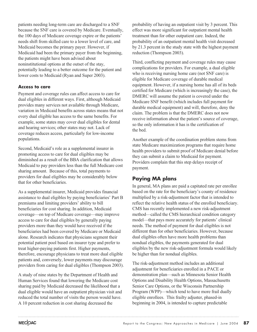patients needing long-term care are discharged to a SNF because the SNF care is covered by Medicare. Eventually, the 100 days of Medicare coverage expire or the patients' needs shift from skilled care to a lower level of care, and Medicaid becomes the primary payer. However, if Medicaid had been the primary payer from the beginning, the patients might have been advised about noninstitutional options at the outset of the stay, potentially leading to a better outcome for the patient and lower costs to Medicaid (Ryan and Super 2003).

### **Access to care**

Payment and coverage rules can affect access to care for dual eligibles in different ways. First, although Medicaid provides many services not available through Medicare, variation in Medicaid benefits across states means that not every dual eligible has access to the same benefits. For example, some states may cover dual eligibles for dental and hearing services; other states may not. Lack of coverage reduces access, particularly for low-income populations.

Second, Medicaid's role as a supplemental insurer in promoting access to care for dual eligibles may be diminished as a result of the BBA clarification that allows Medicaid to pay providers less than the full Medicare cost sharing amount. Because of this, total payments to providers for dual eligibles may be considerably below that for other beneficiaries.

As a supplemental insurer, Medicaid provides financial assistance to dual eligibles by paying beneficiaries' Part B premiums and limiting providers' ability to bill beneficiaries for cost sharing. In addition, Medicaid coverage—on top of Medicare coverage—may improve access to care for dual eligibles by generally paying providers more than they would have received if the beneficiaries had been covered by Medicare or Medicaid alone. Research indicates that physicians segment their potential patient pool based on insurer type and prefer to treat higher-paying patients first. Higher payments, therefore, encourage physicians to treat more dual eligible patients and, conversely, lower payments may discourage providers from caring for dual eligibles (Thompson 2003).

A study of nine states by the Department of Health and Human Services found that lowering the Medicare cost sharing paid by Medicaid decreased the likelihood that a dual eligible would have an outpatient physician visit and reduced the total number of visits the person would have. A 10 percent reduction in cost sharing decreased the

probability of having an outpatient visit by 3 percent. This effect was more significant for outpatient mental health treatment than for other outpatient care. Indeed, the probability of an outpatient mental health visit decreased by 21.3 percent in the study state with the highest payment reduction (Thompson 2003).

Third, conflicting payment and coverage rules may cause complications for providers. For example, a dual eligible who is receiving nursing home care (not SNF care) is eligible for Medicare coverage of durable medical equipment. However, if a nursing home has all of its beds certified for Medicare (which is increasingly the case), the DMERC will assume the patient is covered under the Medicare SNF benefit (which includes full payment for durable medical equipment) and will, therefore, deny the claim. The problem is that the DMERC does not now receive information about the patient's source of coverage, so the only information it has is the certification of the bed.

Another example of the coordination problem stems from state Medicare maximization programs that require home health providers to submit proof of Medicare denial before they can submit a claim to Medicaid for payment. Providers complain that this step delays receipt of payment.

### **Paying MA plans**

In general, MA plans are paid a capitated rate per enrollee based on the rate for the beneficiary's county of residence multiplied by a risk-adjustment factor that is intended to reflect the relative health status of the enrolled beneficiary. CMS has recently implemented a new risk-adjustment method—called the CMS hierarchical condition category model—that pays more accurately for patients' clinical needs. The method of payment for dual eligibles is not different than for other beneficiaries. However, because dual eligibles often have more health problems than nondual eligibles, the payments generated for dual eligibles by the new risk-adjustment formula would likely be higher than for nondual eligibles.

The risk-adjustment method includes an additional adjustment for beneficiaries enrolled in a PACE or demonstration plan—such as Minnesota Senior Health Options and Disability Health Options, Massachusetts Senior Care Options, or the Wisconsin Partnership Program (WPP)—which tend to have more frail dually eligible enrollees. This frailty adjuster, phased-in beginning in 2004, is intended to capture predictable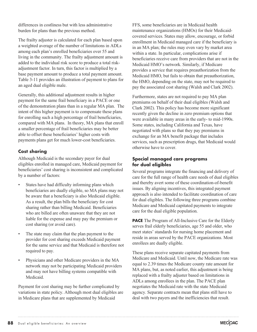differences in costliness but with less administrative burden for plans than the previous method.

The frailty adjuster is calculated for each plan based upon a weighted average of the number of limitations in ADLs among each plan's enrolled beneficiaries over 55 and living in the community. The frailty adjustment amount is added to the individual risk score to produce a total riskadjustment factor. In turn, this factor is multiplied by a base payment amount to produce a total payment amount. Table 3-11 provides an illustration of payment to plans for an aged dual eligible male.

Generally, this additional adjustment results in higher payment for the same frail beneficiary in a PACE or one of the demonstration plans than in a regular MA plan. The intent of this higher payment is to compensate these plans for enrolling such a high percentage of frail beneficiaries, compared with MA plans. In theory, MA plans that enroll a smaller percentage of frail beneficiaries may be better able to offset these beneficiaries' higher costs with payments plans get for much lower-cost beneficiaries.

### **Cost sharing**

Although Medicaid is the secondary payer for dual eligibles enrolled in managed care, Medicaid payment for beneficiaries' cost sharing is inconsistent and complicated by a number of factors:

- States have had difficulty informing plans which beneficiaries are dually eligible, so MA plans may not be aware that a beneficiary is also Medicaid eligible. As a result, the plan bills the beneficiary for cost sharing rather than billing Medicaid. Beneficiaries who are billed are often unaware that they are not liable for the expense and may pay the premium or cost sharing (or avoid care).
- The state may claim that the plan payment to the provider for cost sharing exceeds Medicaid payment for the same service and that Medicaid is therefore not required to pay.
- Physicians and other Medicare providers in the MA network may not be participating Medicaid providers and may not have billing systems compatible with Medicaid.

Payment for cost sharing may be further complicated by variations in state policy. Although most dual eligibles are in Medicare plans that are supplemented by Medicaid

FFS, some beneficiaries are in Medicaid health maintenance organizations (HMOs) for their Medicaidcovered services. States may allow, encourage, or forbid enrollment in Medicaid managed care if the beneficiary is in an MA plan; the rules may even vary by market area within a state. In particular, complications arise if beneficiaries receive care from providers that are not in the Medicaid HMO's network. Similarly, if Medicare provides a service that requires preauthorization from the Medicaid HMO, but fails to obtain that preauthorization, the HMO, depending on the state, may not be required to pay the associated cost sharing (Walsh and Clark 2002).

Furthermore, states are not required to pay MA plan premiums on behalf of their dual eligibles (Walsh and Clark 2002). This policy has become more significant recently given the decline in zero premium options that were available in many areas in the early- to mid-1990s. Some states, including California and Texas, have negotiated with plans so that they pay premiums in exchange for an MA benefit package that includes services, such as prescription drugs, that Medicaid would otherwise have to cover.

### **Special managed care programs for dual eligibles**

Several programs integrate the financing and delivery of care for the full range of health care needs of dual eligibles and thereby avert some of these coordination-of-benefit issues. By aligning incentives, this integrated payment approach is also intended to facilitate coordination of care for dual eligibles. The following three programs combine Medicare and Medicaid capitated payments to integrate care for the dual eligible population.

**PACE** The Program of All-Inclusive Care for the Elderly serves frail elderly beneficiaries, age 55 and older, who meet states' standards for nursing home placement and reside in areas served by the PACE organizations. Most enrollees are dually eligible.

These plans receive separate capitated payments from Medicare and Medicaid. Until now, the Medicare rate was equal to 2.39 times the Medicare county rate amount for MA plans, but, as noted earlier, this adjustment is being replaced with a frailty adjuster based on limitations in ADLs among enrollees in the plan. The PACE plan negotiates the Medicaid rate with the state Medicaid agency. Separate contracts mean that plans still have to deal with two payers and the inefficiencies that result.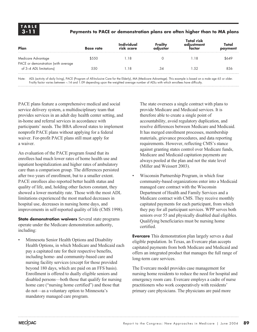### **Payments to PACE or demonstration plans are often higher than to MA plans**

| Plan                                                           | <b>Base rate</b> | Individual<br>risk score | Frailty<br>adiustor | <b>Total risk</b><br>adjustment<br>factor | Total<br>payment |
|----------------------------------------------------------------|------------------|--------------------------|---------------------|-------------------------------------------|------------------|
| Medicare Advantage                                             | \$550            | .18                      |                     | l 18                                      | \$649            |
| PACE or demonstration (with average<br>of 3-4 ADL limitations) | 550              | .18                      | .34                 | .52                                       | 836              |

Note: ADL (activity of daily living), PACE (Program of All-Inclusive Care for the Elderly), MA (Medicare Advantage). This example is based on a male age 65 or older. Frailty factor varies between –.14 and 1.09 depending upon the weighted average number of ADLs with which enrollees have difficulty.

PACE plans feature a comprehensive medical and social service delivery system, a multidisciplinary team that provides services in an adult day health center setting, and in-home and referral services in accordance with participants' needs. The BBA allowed states to implement nonprofit PACE plans without applying for a federal waiver. For-profit PACE plans still must apply for a waiver.

An evaluation of the PACE program found that its enrollees had much lower rates of home health use and inpatient hospitalization and higher rates of ambulatory care than a comparison group. The differences persisted after two years of enrollment, but to a smaller extent. PACE enrollees also reported better health status and quality of life, and, holding other factors constant, they showed a lower mortality rate. Those with the most ADL limitations experienced the most marked decreases in hospital use, decreases in nursing home days, and improvements in self-reported quality of life (CMS 1998).

**State demonstration waivers** Several state programs operate under the Medicare demonstration authority, including:

• Minnesota Senior Health Options and Disability Health Options, in which Medicare and Medicaid each pay a capitated rate for their respective benefits, including home- and community-based care and nursing facility services (except for those provided beyond 180 days, which are paid on an FFS basis). Enrollment is offered to dually eligible seniors and disabled persons—both those that qualify for nursing home care ("nursing home certified") and those that do not—as a voluntary option to Minnesota's mandatory managed care program.

The state oversees a single contract with plans to provide Medicare and Medicaid services. It is therefore able to create a single point of accountability, avoid regulatory duplication, and resolve differences between Medicare and Medicaid. It has merged enrollment processes, membership materials, grievance procedures, and data reporting requirements. However, reflecting CMS's stance against granting states control over Medicare funds, Medicare and Medicaid capitation payments are always pooled at the plan and not the state level (Miller and Weissert 2003).

• Wisconsin Partnership Program, in which four community-based organizations enter into a Medicaid managed care contract with the Wisconsin Department of Health and Family Services and a Medicare contract with CMS. They receive monthly capitated payments for each participant, from which they pay for all participant services. WPP serves both seniors over 55 and physically disabled dual eligibles. Qualifying beneficiaries must be nursing home certified.

**Evercare** This demonstration plan largely serves a dual eligible population. In Texas, an Evercare plan accepts capitated payments from both Medicare and Medicaid and offers an integrated product that manages the full range of long-term care services.

The Evercare model provides case management for nursing home residents to reduce the need for hospital and emergency room care. Evercare employs a cadre of nurse practitioners who work cooperatively with residents' primary care physicians. The physicians are paid more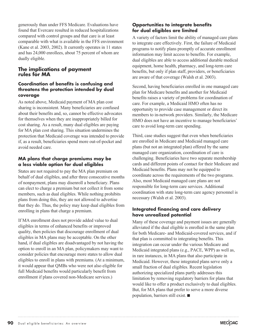generously than under FFS Medicare. Evaluations have found that Evercare resulted in reduced hospitalizations compared with control groups and that care is at least comparable with what is available in the FFS environment (Kane et al. 2003, 2002). It currently operates in 11 states and has 24,000 enrollees, about 75 percent of whom are dually eligible.

### **The implications of payment rules for MA**

### **Coordination of benefits is confusing and threatens the protection intended by dual coverage**

As noted above, Medicaid payment of MA plan cost sharing is inconsistent. Many beneficiaries are confused about their benefits and, so, cannot be effective advocates for themselves when they are inappropriately billed for cost sharing. As a result, many dual eligibles are paying for MA plan cost sharing. This situation undermines the protection that Medicaid coverage was intended to provide if, as a result, beneficiaries spend more out-of-pocket and avoid needed care.

### **MA plans that charge premiums may be a less viable option for dual eligibles**

States are not required to pay the MA plan premium on behalf of dual eligibles, and after three consecutive months of nonpayment, plans may disenroll a beneficiary. Plans can elect to charge a premium but not collect it from some members, such as dual eligibles. While nothing prohibits plans from doing this, they are not allowed to advertise that they do. Thus, the policy may keep dual eligibles from enrolling in plans that charge a premium.

If MA enrollment does not provide added value to dual eligibles in terms of enhanced benefits or improved quality, then policies that discourage enrollment of dual eligibles in MA plans may be acceptable. On the other hand, if dual eligibles are disadvantaged by not having the option to enroll in an MA plan, policymakers may want to consider policies that encourage more states to allow dual eligibles to enroll in plans with premiums. (At a minimum, it would appear that QMBs who were not also eligible for full Medicaid benefits would particularly benefit from enrollment if plans covered non-Medicare services.)

### **Opportunities to integrate benefits for dual eligibles are limited**

A variety of factors limit the ability of managed care plans to integrate care effectively. First, the failure of Medicaid programs to notify plans promptly of accurate enrollment information may limit access to benefits. For example, dual eligibles are able to access additional durable medical equipment, home health, pharmacy, and long-term care benefits, but only if plan staff, providers, or beneficiaries are aware of that coverage (Walsh et al. 2003).

Second, having beneficiaries enrolled in one managed care plan for Medicare benefits and another for Medicaid benefits raises a variety of problems for coordination of care. For example, a Medicaid HMO often has no opportunity to provide case management or direct its members to in-network providers. Similarly, the Medicare HMO does not have an incentive to manage beneficiaries' care to avoid long-term care spending.

Third, case studies suggest that even when beneficiaries are enrolled in Medicare and Medicaid managed care plans (but not an integrated plan) offered by the same managed care organization, coordination of care is challenging. Beneficiaries have two separate membership cards and different points of contact for their Medicare and Medicaid benefits. Plans may not be equipped to coordinate across the requirements of the two programs. Also, most Medicaid managed care plans are not responsible for long-term care services. Additional coordination with state long-term care agency personnel is necessary (Walsh et al. 2003).

### **Integrated financing and care delivery have unrealized potential**

Many of these coverage and payment issues are generally alleviated if the dual eligible is enrolled in the same plan for both Medicare- and Medicaid-covered services, and if that plan is committed to integrating benefits. This integration can occur under the various Medicare and Medicaid integrated plans (e.g., PACE, WPP) as well as, in rare instances, in MA plans that also participate in Medicaid. However, these integrated plans serve only a small fraction of dual eligibles. Recent legislation authorizing specialized plans partly addresses this limitation by removing regulatory barriers for plans that would like to offer a product exclusively to dual eligibles. But, for MA plans that prefer to serve a more diverse population, barriers still exist.  $\blacksquare$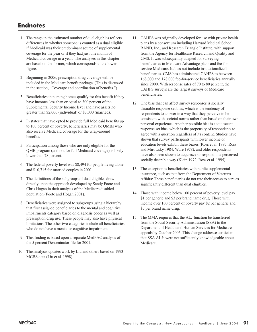### **Endnotes**

- 1 The range in the estimated number of dual eligibles reflects differences in whether someone is counted as a dual eligible if Medicaid was their predominant source of supplemental coverage for the year or if they had just one month of Medicaid coverage in a year. The analyses in this chapter are based on the former, which corresponds to the lower figure.
- 2 Beginning in 2006, prescription drug coverage will be included in the Medicare benefit package. (This is discussed in the section, "Coverage and coordination of benefits.")
- 3 Beneficiaries in nursing homes qualify for this benefit if they have incomes less than or equal to 300 percent of the Supplemental Security Income level and have assets no greater than \$2,000 (individual) or \$3,000 (married).
- 4 In states that have opted to provide full Medicaid benefits up to 100 percent of poverty, beneficiaries may be QMBs who also receive Medicaid coverage for the wrap-around benefits.
- 5 Participation among those who are only eligible for the QMB program (and not for full Medicaid coverage) is likely lower than 78 percent.
- 6 The federal poverty level was \$8,494 for people living alone and \$10,715 for married couples in 2001.
- 7 The definitions of the subgroups of dual eligibles draw directly upon the approach developed by Sandy Foote and Chris Hogan in their analysis of the Medicare disabled population (Foote and Hogan 2001).
- 8 Beneficiaries were assigned to subgroups using a hierarchy that first assigned beneficiaries to the mental and cognitive impairments category based on diagnosis codes as well as prescription drug use. These people may also have physical limitations. The other two categories include all beneficiaries who do not have a mental or cognitive impairment.
- 9 This finding is based upon a separate MedPAC analysis of the 5 percent Denominator file for 2001.
- 10 This analysis updates work by Liu and others based on 1993 MCBS data (Liu et al. 1998).
- 11 CAHPS was originally developed for use with private health plans by a consortium including Harvard Medical School, RAND, Inc., and Research Triangle Institute, with support from the Agency for Healthcare Research and Quality and CMS. It was subsequently adapted for surveying beneficiaries in Medicare Advantage plans and fee-forservice Medicare. It does not include institutionalized beneficiaries. CMS has administered CAHPS to between 168,000 and 178,000 fee-for-service beneficiaries annually since 2000. With response rates of 70 to 80 percent, the CAHPS surveys are the largest surveys of Medicare beneficiaries.
- 12 One bias that can affect survey responses is socially desirable response set bias, which is the tendency of respondents to answer in a way that they perceive to be consistent with societal norms rather than based on their own personal experience. Another possible bias is acquiescent response set bias, which is the propensity of respondents to agree with a question regardless of its content. Studies have shown that survey participants with lower income or education levels exhibit these biases (Ross et al. 1995, Ross and Mirowsky 1984, Ware 1978), and older respondents have also been shown to acquiesce or respond in a perceived socially desirable way (Klein 1972, Ross et al. 1995).
- 13 The exception is beneficiaries with public supplemental insurance, such as that from the Department of Veterans Affairs: These beneficiaries do not rate their access to care as significantly different than dual eligibles.
- 14 Those with income below 100 percent of poverty level pay \$1 per generic and \$3 per brand name drug. Those with income over 100 percent of poverty pay \$2 per generic and \$5 per brand name drug.
- 15 The MMA requires that the ALJ function be transferred from the Social Security Administration (SSA) to the Department of Health and Human Services for Medicare appeals by October 2005. This change addresses criticism that SSA ALJs were not sufficiently knowledgeable about Medicare.